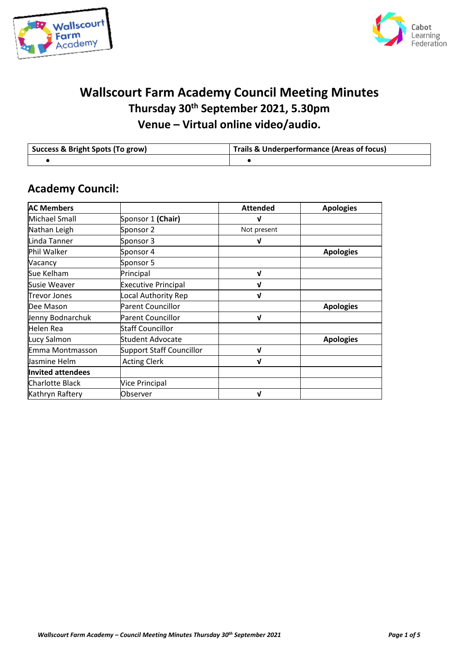



## **Wallscourt Farm Academy Council Meeting Minutes Thursday 30th September 2021, 5.30pm Venue – Virtual online video/audio.**

| Success & Bright Spots (To grow) | Trails & Underperformance (Areas of focus) |  |
|----------------------------------|--------------------------------------------|--|
|                                  |                                            |  |

## **Academy Council:**

| <b>AC Members</b>        |                                 | <b>Attended</b> | <b>Apologies</b> |
|--------------------------|---------------------------------|-----------------|------------------|
| <b>Michael Small</b>     | Sponsor 1 (Chair)               | ν               |                  |
| Nathan Leigh             | Sponsor 2                       | Not present     |                  |
| Linda Tanner             | Sponsor 3                       | V               |                  |
| Phil Walker              | Sponsor 4                       |                 | <b>Apologies</b> |
| Vacancy                  | Sponsor 5                       |                 |                  |
| Sue Kelham               | Principal                       | V               |                  |
| Susie Weaver             | <b>Executive Principal</b>      | ν               |                  |
| <b>Trevor Jones</b>      | Local Authority Rep             | ν               |                  |
| Dee Mason                | <b>Parent Councillor</b>        |                 | <b>Apologies</b> |
| Jenny Bodnarchuk         | <b>Parent Councillor</b>        | ν               |                  |
| Helen Rea                | Staff Councillor                |                 |                  |
| Lucy Salmon              | <b>Student Advocate</b>         |                 | <b>Apologies</b> |
| Emma Montmasson          | <b>Support Staff Councillor</b> | ν               |                  |
| Jasmine Helm             | <b>Acting Clerk</b>             | V               |                  |
| <b>Invited attendees</b> |                                 |                 |                  |
| <b>Charlotte Black</b>   | Vice Principal                  |                 |                  |
| Kathryn Raftery          | Observer                        | ν               |                  |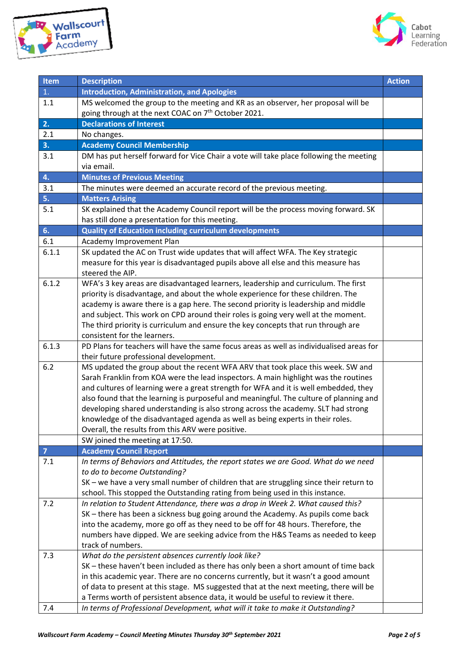



| <b>Item</b>    | <b>Description</b>                                                                                                                  | <b>Action</b> |  |
|----------------|-------------------------------------------------------------------------------------------------------------------------------------|---------------|--|
| 1.             | <b>Introduction, Administration, and Apologies</b>                                                                                  |               |  |
| 1.1            | MS welcomed the group to the meeting and KR as an observer, her proposal will be                                                    |               |  |
|                | going through at the next COAC on 7 <sup>th</sup> October 2021.                                                                     |               |  |
| 2.             | <b>Declarations of Interest</b>                                                                                                     |               |  |
| 2.1            | No changes.                                                                                                                         |               |  |
| 3.             | <b>Academy Council Membership</b>                                                                                                   |               |  |
| 3.1            | DM has put herself forward for Vice Chair a vote will take place following the meeting                                              |               |  |
|                | via email.                                                                                                                          |               |  |
| 4.             | <b>Minutes of Previous Meeting</b>                                                                                                  |               |  |
| 3.1            | The minutes were deemed an accurate record of the previous meeting.                                                                 |               |  |
| 5.             | <b>Matters Arising</b>                                                                                                              |               |  |
| 5.1            | SK explained that the Academy Council report will be the process moving forward. SK                                                 |               |  |
|                | has still done a presentation for this meeting.                                                                                     |               |  |
| 6.             | <b>Quality of Education including curriculum developments</b>                                                                       |               |  |
| 6.1            | Academy Improvement Plan                                                                                                            |               |  |
| 6.1.1          | SK updated the AC on Trust wide updates that will affect WFA. The Key strategic                                                     |               |  |
|                | measure for this year is disadvantaged pupils above all else and this measure has                                                   |               |  |
|                | steered the AIP.                                                                                                                    |               |  |
| 6.1.2          | WFA's 3 key areas are disadvantaged learners, leadership and curriculum. The first                                                  |               |  |
|                | priority is disadvantage, and about the whole experience for these children. The                                                    |               |  |
|                | academy is aware there is a gap here. The second priority is leadership and middle                                                  |               |  |
|                | and subject. This work on CPD around their roles is going very well at the moment.                                                  |               |  |
|                | The third priority is curriculum and ensure the key concepts that run through are                                                   |               |  |
|                | consistent for the learners.                                                                                                        |               |  |
| 6.1.3          | PD Plans for teachers will have the same focus areas as well as individualised areas for                                            |               |  |
|                | their future professional development.                                                                                              |               |  |
| 6.2            | MS updated the group about the recent WFA ARV that took place this week. SW and                                                     |               |  |
|                | Sarah Franklin from KOA were the lead inspectors. A main highlight was the routines                                                 |               |  |
|                | and cultures of learning were a great strength for WFA and it is well embedded, they                                                |               |  |
|                | also found that the learning is purposeful and meaningful. The culture of planning and                                              |               |  |
|                | developing shared understanding is also strong across the academy. SLT had strong                                                   |               |  |
|                | knowledge of the disadvantaged agenda as well as being experts in their roles.<br>Overall, the results from this ARV were positive. |               |  |
|                | SW joined the meeting at 17:50.                                                                                                     |               |  |
| $\overline{7}$ | <b>Academy Council Report</b>                                                                                                       |               |  |
| 7.1            | In terms of Behaviors and Attitudes, the report states we are Good. What do we need                                                 |               |  |
|                | to do to become Outstanding?                                                                                                        |               |  |
|                | SK - we have a very small number of children that are struggling since their return to                                              |               |  |
|                | school. This stopped the Outstanding rating from being used in this instance.                                                       |               |  |
| 7.2            | In relation to Student Attendance, there was a drop in Week 2. What caused this?                                                    |               |  |
|                | SK - there has been a sickness bug going around the Academy. As pupils come back                                                    |               |  |
|                | into the academy, more go off as they need to be off for 48 hours. Therefore, the                                                   |               |  |
|                | numbers have dipped. We are seeking advice from the H&S Teams as needed to keep                                                     |               |  |
|                | track of numbers.                                                                                                                   |               |  |
| 7.3            | What do the persistent absences currently look like?                                                                                |               |  |
|                | SK - these haven't been included as there has only been a short amount of time back                                                 |               |  |
|                | in this academic year. There are no concerns currently, but it wasn't a good amount                                                 |               |  |
|                | of data to present at this stage. MS suggested that at the next meeting, there will be                                              |               |  |
|                | a Terms worth of persistent absence data, it would be useful to review it there.                                                    |               |  |
| 7.4            | In terms of Professional Development, what will it take to make it Outstanding?                                                     |               |  |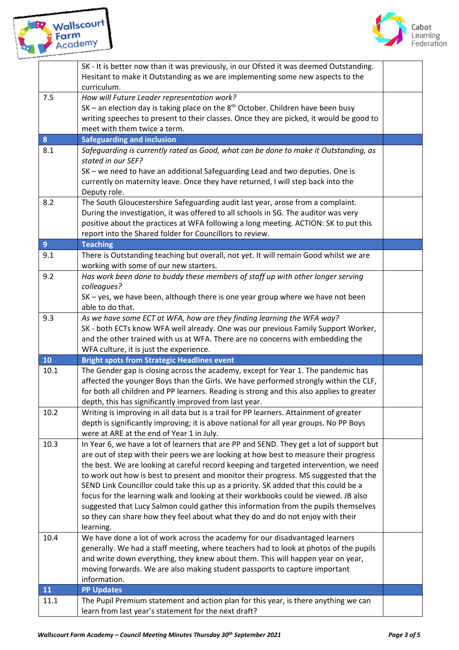



|                | SK - It is better now than it was previously, in our Ofsted it was deemed Outstanding.<br>Hesitant to make it Outstanding as we are implementing some new aspects to the<br>curriculum.                                                                        |  |  |
|----------------|----------------------------------------------------------------------------------------------------------------------------------------------------------------------------------------------------------------------------------------------------------------|--|--|
| 7.5            | How will Future Leader representation work?<br>$SK -$ an election day is taking place on the $8th$ October. Children have been busy<br>writing speeches to present to their classes. Once they are picked, it would be good to<br>meet with them twice a term. |  |  |
| $\bf{8}$       | <b>Safeguarding and inclusion</b>                                                                                                                                                                                                                              |  |  |
| 8.1            | Safeguarding is currently rated as Good, what can be done to make it Outstanding, as                                                                                                                                                                           |  |  |
|                | stated in our SEF?                                                                                                                                                                                                                                             |  |  |
|                | SK - we need to have an additional Safeguarding Lead and two deputies. One is                                                                                                                                                                                  |  |  |
|                | currently on maternity leave. Once they have returned, I will step back into the                                                                                                                                                                               |  |  |
|                | Deputy role.                                                                                                                                                                                                                                                   |  |  |
| 8.2            | The South Gloucestershire Safeguarding audit last year, arose from a complaint.<br>During the investigation, it was offered to all schools in SG. The auditor was very                                                                                         |  |  |
|                | positive about the practices at WFA following a long meeting. ACTION: SK to put this                                                                                                                                                                           |  |  |
|                | report into the Shared folder for Councillors to review.                                                                                                                                                                                                       |  |  |
| $\overline{9}$ | <b>Teaching</b>                                                                                                                                                                                                                                                |  |  |
| 9.1            | There is Outstanding teaching but overall, not yet. It will remain Good whilst we are                                                                                                                                                                          |  |  |
|                | working with some of our new starters.                                                                                                                                                                                                                         |  |  |
| 9.2            | Has work been done to buddy these members of staff up with other longer serving                                                                                                                                                                                |  |  |
|                | colleagues?                                                                                                                                                                                                                                                    |  |  |
|                | SK - yes, we have been, although there is one year group where we have not been<br>able to do that.                                                                                                                                                            |  |  |
| 9.3            | As we have some ECT at WFA, how are they finding learning the WFA way?                                                                                                                                                                                         |  |  |
|                | SK - both ECTs know WFA well already. One was our previous Family Support Worker,                                                                                                                                                                              |  |  |
|                | and the other trained with us at WFA. There are no concerns with embedding the                                                                                                                                                                                 |  |  |
|                | WFA culture, it is just the experience.                                                                                                                                                                                                                        |  |  |
| 10             | <b>Bright spots from Strategic Headlines event</b>                                                                                                                                                                                                             |  |  |
| 10.1           | The Gender gap is closing across the academy, except for Year 1. The pandemic has                                                                                                                                                                              |  |  |
|                | affected the younger Boys than the Girls. We have performed strongly within the CLF,                                                                                                                                                                           |  |  |
|                | for both all children and PP learners. Reading is strong and this also applies to greater                                                                                                                                                                      |  |  |
|                | depth, this has significantly improved from last year.                                                                                                                                                                                                         |  |  |
| 10.2           | Writing is improving in all data but is a trail for PP learners. Attainment of greater                                                                                                                                                                         |  |  |
|                | depth is significantly improving; it is above national for all year groups. No PP Boys<br>were at ARE at the end of Year 1 in July.                                                                                                                            |  |  |
| 10.3           | In Year 6, we have a lot of learners that are PP and SEND. They get a lot of support but                                                                                                                                                                       |  |  |
|                | are out of step with their peers we are looking at how best to measure their progress                                                                                                                                                                          |  |  |
|                | the best. We are looking at careful record keeping and targeted intervention, we need                                                                                                                                                                          |  |  |
|                | to work out how is best to present and monitor their progress. MS suggested that the                                                                                                                                                                           |  |  |
|                | SEND Link Councillor could take this up as a priority. SK added that this could be a                                                                                                                                                                           |  |  |
|                | focus for the learning walk and looking at their workbooks could be viewed. JB also                                                                                                                                                                            |  |  |
|                |                                                                                                                                                                                                                                                                |  |  |
|                | suggested that Lucy Salmon could gather this information from the pupils themselves                                                                                                                                                                            |  |  |
|                | so they can share how they feel about what they do and do not enjoy with their                                                                                                                                                                                 |  |  |
|                | learning.                                                                                                                                                                                                                                                      |  |  |
| 10.4           | We have done a lot of work across the academy for our disadvantaged learners                                                                                                                                                                                   |  |  |
|                | generally. We had a staff meeting, where teachers had to look at photos of the pupils                                                                                                                                                                          |  |  |
|                | and write down everything, they knew about them. This will happen year on year,                                                                                                                                                                                |  |  |
|                | moving forwards. We are also making student passports to capture important                                                                                                                                                                                     |  |  |
|                | information.                                                                                                                                                                                                                                                   |  |  |
| 11             | <b>PP Updates</b>                                                                                                                                                                                                                                              |  |  |
| 11.1           | The Pupil Premium statement and action plan for this year, is there anything we can<br>learn from last year's statement for the next draft?                                                                                                                    |  |  |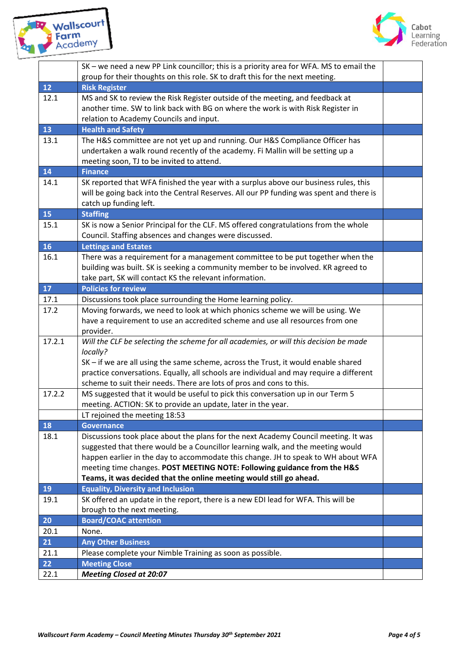



|        | SK - we need a new PP Link councillor; this is a priority area for WFA. MS to email the                          |  |  |
|--------|------------------------------------------------------------------------------------------------------------------|--|--|
| 12     | group for their thoughts on this role. SK to draft this for the next meeting.<br><b>Risk Register</b>            |  |  |
| 12.1   | MS and SK to review the Risk Register outside of the meeting, and feedback at                                    |  |  |
|        | another time. SW to link back with BG on where the work is with Risk Register in                                 |  |  |
|        | relation to Academy Councils and input.                                                                          |  |  |
| 13     | <b>Health and Safety</b>                                                                                         |  |  |
| 13.1   | The H&S committee are not yet up and running. Our H&S Compliance Officer has                                     |  |  |
|        | undertaken a walk round recently of the academy. Fi Mallin will be setting up a                                  |  |  |
|        | meeting soon, TJ to be invited to attend.                                                                        |  |  |
| 14     | <b>Finance</b>                                                                                                   |  |  |
| 14.1   | SK reported that WFA finished the year with a surplus above our business rules, this                             |  |  |
|        | will be going back into the Central Reserves. All our PP funding was spent and there is                          |  |  |
|        | catch up funding left.                                                                                           |  |  |
| 15     | <b>Staffing</b>                                                                                                  |  |  |
| 15.1   | SK is now a Senior Principal for the CLF. MS offered congratulations from the whole                              |  |  |
|        | Council. Staffing absences and changes were discussed.                                                           |  |  |
| 16     | <b>Lettings and Estates</b>                                                                                      |  |  |
| 16.1   | There was a requirement for a management committee to be put together when the                                   |  |  |
|        | building was built. SK is seeking a community member to be involved. KR agreed to                                |  |  |
|        | take part, SK will contact KS the relevant information.                                                          |  |  |
| 17     | <b>Policies for review</b>                                                                                       |  |  |
| 17.1   | Discussions took place surrounding the Home learning policy.                                                     |  |  |
| 17.2   | Moving forwards, we need to look at which phonics scheme we will be using. We                                    |  |  |
|        | have a requirement to use an accredited scheme and use all resources from one                                    |  |  |
|        | provider.                                                                                                        |  |  |
| 17.2.1 | Will the CLF be selecting the scheme for all academies, or will this decision be made                            |  |  |
|        | locally?                                                                                                         |  |  |
|        | SK - if we are all using the same scheme, across the Trust, it would enable shared                               |  |  |
|        | practice conversations. Equally, all schools are individual and may require a different                          |  |  |
|        | scheme to suit their needs. There are lots of pros and cons to this.                                             |  |  |
| 17.2.2 | MS suggested that it would be useful to pick this conversation up in our Term 5                                  |  |  |
|        | meeting. ACTION: SK to provide an update, later in the year.                                                     |  |  |
|        | LT rejoined the meeting 18:53                                                                                    |  |  |
| 18     | <b>Governance</b>                                                                                                |  |  |
| 18.1   | Discussions took place about the plans for the next Academy Council meeting. It was                              |  |  |
|        | suggested that there would be a Councillor learning walk, and the meeting would                                  |  |  |
|        | happen earlier in the day to accommodate this change. JH to speak to WH about WFA                                |  |  |
|        | meeting time changes. POST MEETING NOTE: Following guidance from the H&S                                         |  |  |
|        | Teams, it was decided that the online meeting would still go ahead.<br><b>Equality, Diversity and Inclusion</b>  |  |  |
| 19     |                                                                                                                  |  |  |
| 19.1   | SK offered an update in the report, there is a new EDI lead for WFA. This will be<br>brough to the next meeting. |  |  |
| 20     | <b>Board/COAC attention</b>                                                                                      |  |  |
| 20.1   | None.                                                                                                            |  |  |
| 21     | <b>Any Other Business</b>                                                                                        |  |  |
| 21.1   | Please complete your Nimble Training as soon as possible.                                                        |  |  |
| 22     | <b>Meeting Close</b>                                                                                             |  |  |
| 22.1   | <b>Meeting Closed at 20:07</b>                                                                                   |  |  |
|        |                                                                                                                  |  |  |